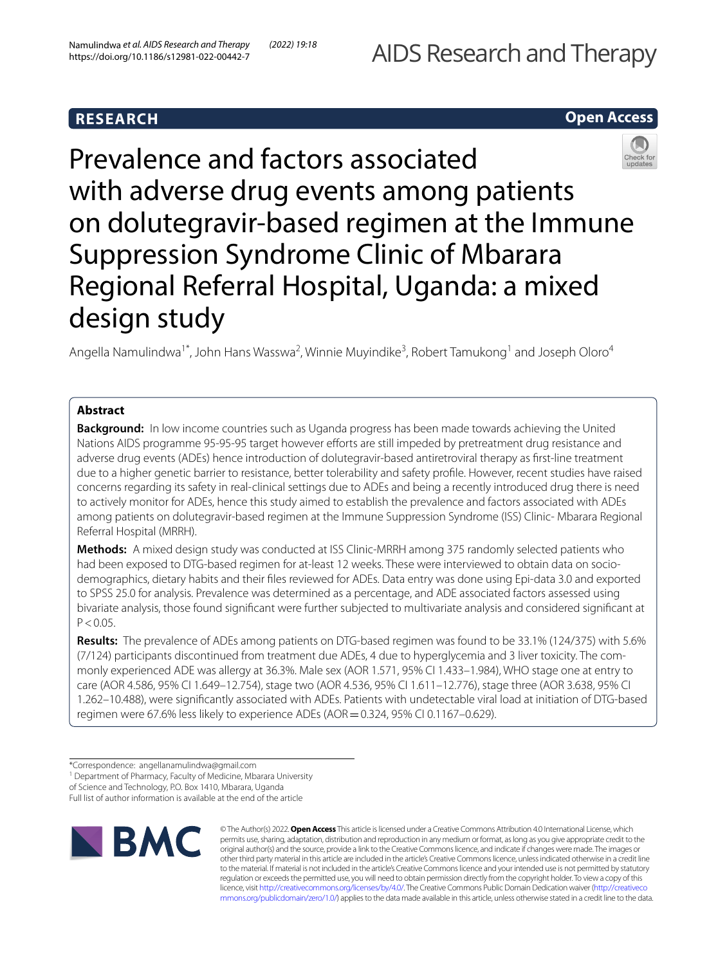# **RESEARCH**

## **Open Access**



Prevalence and factors associated with adverse drug events among patients on dolutegravir-based regimen at the Immune Suppression Syndrome Clinic of Mbarara Regional Referral Hospital, Uganda: a mixed design study

Angella Namulindwa<sup>1\*</sup>, John Hans Wasswa<sup>2</sup>, Winnie Muyindike<sup>3</sup>, Robert Tamukong<sup>1</sup> and Joseph Oloro<sup>4</sup>

## **Abstract**

**Background:** In low income countries such as Uganda progress has been made towards achieving the United Nations AIDS programme 95-95-95 target however efforts are still impeded by pretreatment drug resistance and adverse drug events (ADEs) hence introduction of dolutegravir-based antiretroviral therapy as frst-line treatment due to a higher genetic barrier to resistance, better tolerability and safety profle. However, recent studies have raised concerns regarding its safety in real-clinical settings due to ADEs and being a recently introduced drug there is need to actively monitor for ADEs, hence this study aimed to establish the prevalence and factors associated with ADEs among patients on dolutegravir-based regimen at the Immune Suppression Syndrome (ISS) Clinic- Mbarara Regional Referral Hospital (MRRH).

**Methods:** A mixed design study was conducted at ISS Clinic-MRRH among 375 randomly selected patients who had been exposed to DTG-based regimen for at-least 12 weeks. These were interviewed to obtain data on sociodemographics, dietary habits and their fles reviewed for ADEs. Data entry was done using Epi-data 3.0 and exported to SPSS 25.0 for analysis. Prevalence was determined as a percentage, and ADE associated factors assessed using bivariate analysis, those found signifcant were further subjected to multivariate analysis and considered signifcant at  $P < 0.05$ .

**Results:** The prevalence of ADEs among patients on DTG-based regimen was found to be 33.1% (124/375) with 5.6% (7/124) participants discontinued from treatment due ADEs, 4 due to hyperglycemia and 3 liver toxicity. The commonly experienced ADE was allergy at 36.3%. Male sex (AOR 1.571, 95% CI 1.433–1.984), WHO stage one at entry to care (AOR 4.586, 95% CI 1.649–12.754), stage two (AOR 4.536, 95% CI 1.611–12.776), stage three (AOR 3.638, 95% CI 1.262–10.488), were signifcantly associated with ADEs. Patients with undetectable viral load at initiation of DTG-based regimen were 67.6% less likely to experience ADEs (AOR = 0.324, 95% CI 0.1167-0.629).

<sup>1</sup> Department of Pharmacy, Faculty of Medicine, Mbarara University

Full list of author information is available at the end of the article



© The Author(s) 2022. **Open Access** This article is licensed under a Creative Commons Attribution 4.0 International License, which permits use, sharing, adaptation, distribution and reproduction in any medium or format, as long as you give appropriate credit to the original author(s) and the source, provide a link to the Creative Commons licence, and indicate if changes were made. The images or other third party material in this article are included in the article's Creative Commons licence, unless indicated otherwise in a credit line to the material. If material is not included in the article's Creative Commons licence and your intended use is not permitted by statutory regulation or exceeds the permitted use, you will need to obtain permission directly from the copyright holder. To view a copy of this licence, visit [http://creativecommons.org/licenses/by/4.0/.](http://creativecommons.org/licenses/by/4.0/) The Creative Commons Public Domain Dedication waiver ([http://creativeco](http://creativecommons.org/publicdomain/zero/1.0/) [mmons.org/publicdomain/zero/1.0/](http://creativecommons.org/publicdomain/zero/1.0/)) applies to the data made available in this article, unless otherwise stated in a credit line to the data.

<sup>\*</sup>Correspondence: angellanamulindwa@gmail.com

of Science and Technology, P.O. Box 1410, Mbarara, Uganda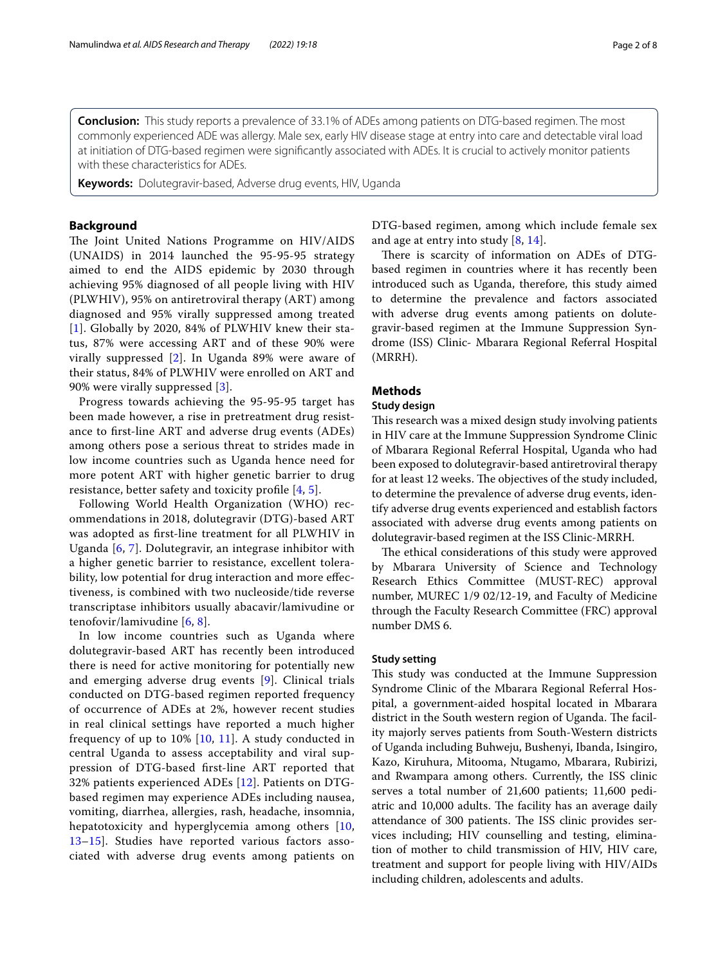**Conclusion:** This study reports a prevalence of 33.1% of ADEs among patients on DTG-based regimen. The most commonly experienced ADE was allergy. Male sex, early HIV disease stage at entry into care and detectable viral load at initiation of DTG-based regimen were signifcantly associated with ADEs. It is crucial to actively monitor patients with these characteristics for ADEs.

**Keywords:** Dolutegravir-based, Adverse drug events, HIV, Uganda

## **Background**

The Joint United Nations Programme on HIV/AIDS (UNAIDS) in 2014 launched the 95-95-95 strategy aimed to end the AIDS epidemic by 2030 through achieving 95% diagnosed of all people living with HIV (PLWHIV), 95% on antiretroviral therapy (ART) among diagnosed and 95% virally suppressed among treated [[1](#page-6-0)]. Globally by 2020, 84% of PLWHIV knew their status, 87% were accessing ART and of these 90% were virally suppressed [[2\]](#page-6-1). In Uganda 89% were aware of their status, 84% of PLWHIV were enrolled on ART and 90% were virally suppressed [[3\]](#page-6-2).

Progress towards achieving the 95-95-95 target has been made however, a rise in pretreatment drug resistance to frst-line ART and adverse drug events (ADEs) among others pose a serious threat to strides made in low income countries such as Uganda hence need for more potent ART with higher genetic barrier to drug resistance, better safety and toxicity profile  $[4, 5]$  $[4, 5]$  $[4, 5]$  $[4, 5]$ .

Following World Health Organization (WHO) recommendations in 2018, dolutegravir (DTG)-based ART was adopted as frst-line treatment for all PLWHIV in Uganda [\[6](#page-6-5), [7\]](#page-6-6). Dolutegravir, an integrase inhibitor with a higher genetic barrier to resistance, excellent tolerability, low potential for drug interaction and more efectiveness, is combined with two nucleoside/tide reverse transcriptase inhibitors usually abacavir/lamivudine or tenofovir/lamivudine [[6,](#page-6-5) [8\]](#page-6-7).

In low income countries such as Uganda where dolutegravir-based ART has recently been introduced there is need for active monitoring for potentially new and emerging adverse drug events [[9\]](#page-6-8). Clinical trials conducted on DTG-based regimen reported frequency of occurrence of ADEs at 2%, however recent studies in real clinical settings have reported a much higher frequency of up to  $10\%$  [\[10,](#page-6-9) [11](#page-7-0)]. A study conducted in central Uganda to assess acceptability and viral suppression of DTG-based frst-line ART reported that 32% patients experienced ADEs [[12](#page-7-1)]. Patients on DTGbased regimen may experience ADEs including nausea, vomiting, diarrhea, allergies, rash, headache, insomnia, hepatotoxicity and hyperglycemia among others [\[10](#page-6-9), [13–](#page-7-2)[15\]](#page-7-3). Studies have reported various factors associated with adverse drug events among patients on DTG-based regimen, among which include female sex and age at entry into study [\[8](#page-6-7), [14](#page-7-4)].

There is scarcity of information on ADEs of DTGbased regimen in countries where it has recently been introduced such as Uganda, therefore, this study aimed to determine the prevalence and factors associated with adverse drug events among patients on dolutegravir-based regimen at the Immune Suppression Syndrome (ISS) Clinic- Mbarara Regional Referral Hospital (MRRH).

## **Methods**

## **Study design**

This research was a mixed design study involving patients in HIV care at the Immune Suppression Syndrome Clinic of Mbarara Regional Referral Hospital, Uganda who had been exposed to dolutegravir-based antiretroviral therapy for at least 12 weeks. The objectives of the study included, to determine the prevalence of adverse drug events, identify adverse drug events experienced and establish factors associated with adverse drug events among patients on dolutegravir-based regimen at the ISS Clinic-MRRH.

The ethical considerations of this study were approved by Mbarara University of Science and Technology Research Ethics Committee (MUST-REC) approval number, MUREC 1/9 02/12-19, and Faculty of Medicine through the Faculty Research Committee (FRC) approval number DMS 6.

## **Study setting**

This study was conducted at the Immune Suppression Syndrome Clinic of the Mbarara Regional Referral Hospital, a government-aided hospital located in Mbarara district in the South western region of Uganda. The facility majorly serves patients from South-Western districts of Uganda including Buhweju, Bushenyi, Ibanda, Isingiro, Kazo, Kiruhura, Mitooma, Ntugamo, Mbarara, Rubirizi, and Rwampara among others. Currently, the ISS clinic serves a total number of 21,600 patients; 11,600 pediatric and 10,000 adults. The facility has an average daily attendance of 300 patients. The ISS clinic provides services including; HIV counselling and testing, elimination of mother to child transmission of HIV, HIV care, treatment and support for people living with HIV/AIDs including children, adolescents and adults.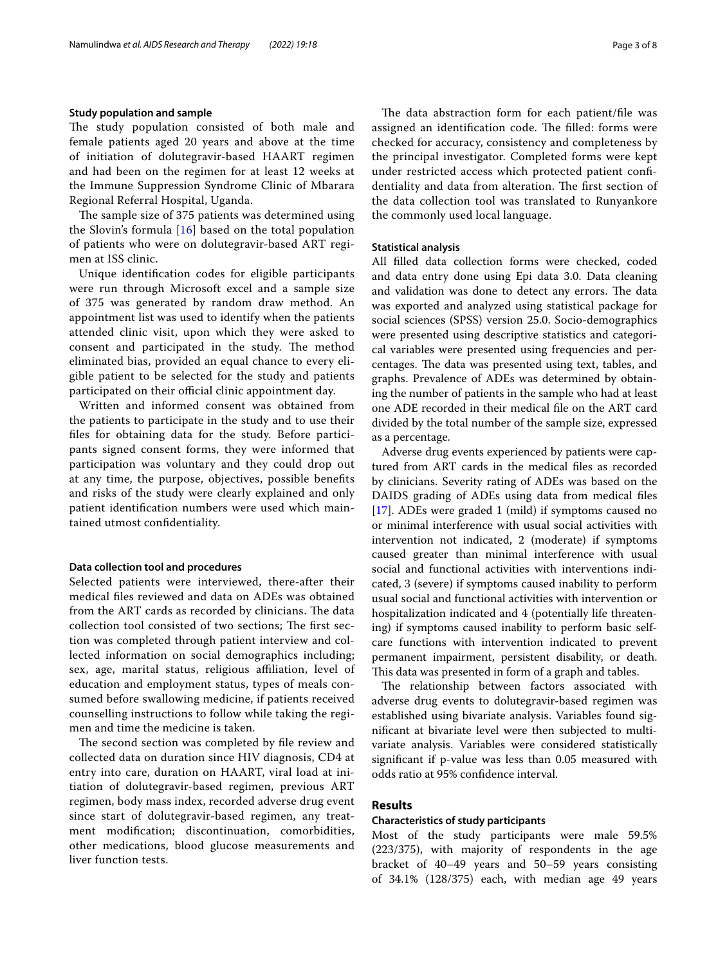## **Study population and sample**

The study population consisted of both male and female patients aged 20 years and above at the time of initiation of dolutegravir-based HAART regimen and had been on the regimen for at least 12 weeks at the Immune Suppression Syndrome Clinic of Mbarara Regional Referral Hospital, Uganda.

The sample size of 375 patients was determined using the Slovin's formula [[16\]](#page-7-5) based on the total population of patients who were on dolutegravir-based ART regimen at ISS clinic.

Unique identifcation codes for eligible participants were run through Microsoft excel and a sample size of 375 was generated by random draw method. An appointment list was used to identify when the patients attended clinic visit, upon which they were asked to consent and participated in the study. The method eliminated bias, provided an equal chance to every eligible patient to be selected for the study and patients participated on their official clinic appointment day.

Written and informed consent was obtained from the patients to participate in the study and to use their fles for obtaining data for the study. Before participants signed consent forms, they were informed that participation was voluntary and they could drop out at any time, the purpose, objectives, possible benefts and risks of the study were clearly explained and only patient identifcation numbers were used which maintained utmost confdentiality.

## **Data collection tool and procedures**

Selected patients were interviewed, there-after their medical fles reviewed and data on ADEs was obtained from the ART cards as recorded by clinicians. The data collection tool consisted of two sections; The first section was completed through patient interview and collected information on social demographics including; sex, age, marital status, religious affiliation, level of education and employment status, types of meals consumed before swallowing medicine, if patients received counselling instructions to follow while taking the regimen and time the medicine is taken.

The second section was completed by file review and collected data on duration since HIV diagnosis, CD4 at entry into care, duration on HAART, viral load at initiation of dolutegravir-based regimen, previous ART regimen, body mass index, recorded adverse drug event since start of dolutegravir-based regimen, any treatment modifcation; discontinuation, comorbidities, other medications, blood glucose measurements and liver function tests.

The data abstraction form for each patient/file was assigned an identification code. The filled: forms were checked for accuracy, consistency and completeness by the principal investigator. Completed forms were kept under restricted access which protected patient confdentiality and data from alteration. The first section of the data collection tool was translated to Runyankore the commonly used local language.

#### **Statistical analysis**

All flled data collection forms were checked, coded and data entry done using Epi data 3.0. Data cleaning and validation was done to detect any errors. The data was exported and analyzed using statistical package for social sciences (SPSS) version 25.0. Socio-demographics were presented using descriptive statistics and categorical variables were presented using frequencies and percentages. The data was presented using text, tables, and graphs. Prevalence of ADEs was determined by obtaining the number of patients in the sample who had at least one ADE recorded in their medical fle on the ART card divided by the total number of the sample size, expressed as a percentage.

Adverse drug events experienced by patients were captured from ART cards in the medical fles as recorded by clinicians. Severity rating of ADEs was based on the DAIDS grading of ADEs using data from medical fles [[17\]](#page-7-6). ADEs were graded 1 (mild) if symptoms caused no or minimal interference with usual social activities with intervention not indicated, 2 (moderate) if symptoms caused greater than minimal interference with usual social and functional activities with interventions indicated, 3 (severe) if symptoms caused inability to perform usual social and functional activities with intervention or hospitalization indicated and 4 (potentially life threatening) if symptoms caused inability to perform basic selfcare functions with intervention indicated to prevent permanent impairment, persistent disability, or death. This data was presented in form of a graph and tables.

The relationship between factors associated with adverse drug events to dolutegravir-based regimen was established using bivariate analysis. Variables found signifcant at bivariate level were then subjected to multivariate analysis. Variables were considered statistically signifcant if p-value was less than 0.05 measured with odds ratio at 95% confdence interval.

## **Results**

## **Characteristics of study participants**

Most of the study participants were male 59.5% (223/375), with majority of respondents in the age bracket of 40–49 years and 50–59 years consisting of 34.1% (128/375) each, with median age 49 years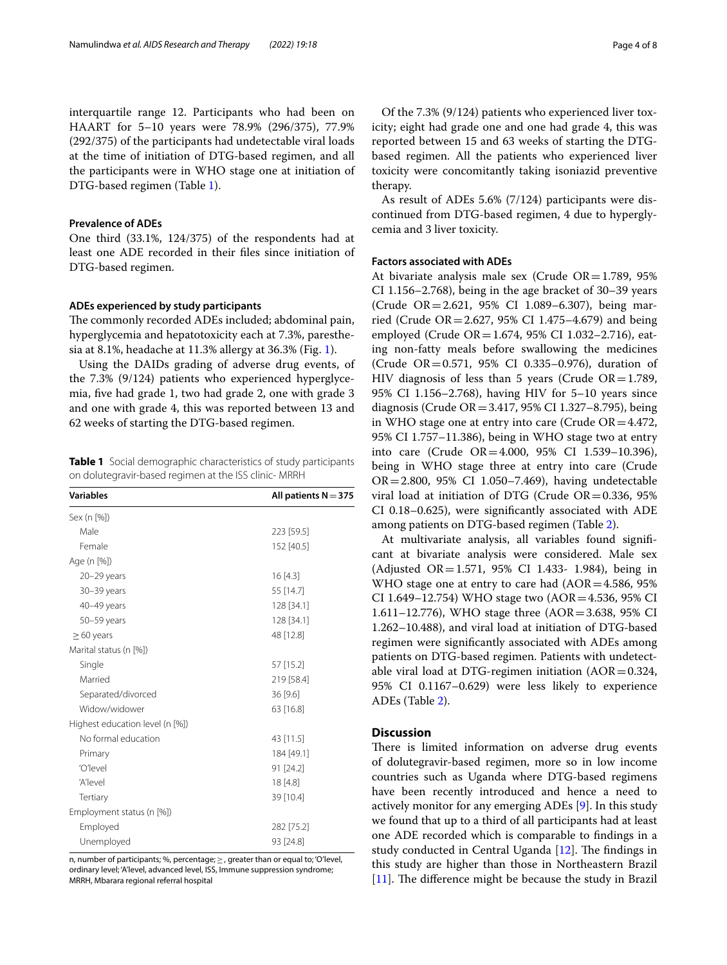interquartile range 12. Participants who had been on HAART for 5–10 years were 78.9% (296/375), 77.9% (292/375) of the participants had undetectable viral loads at the time of initiation of DTG-based regimen, and all the participants were in WHO stage one at initiation of DTG-based regimen (Table [1\)](#page-3-0).

## **Prevalence of ADEs**

One third (33.1%, 124/375) of the respondents had at least one ADE recorded in their fles since initiation of DTG-based regimen.

## **ADEs experienced by study participants**

The commonly recorded ADEs included; abdominal pain, hyperglycemia and hepatotoxicity each at 7.3%, paresthesia at 8.1%, headache at 11.3% allergy at 36.3% (Fig. [1\)](#page-4-0).

Using the DAIDs grading of adverse drug events, of the 7.3% (9/124) patients who experienced hyperglycemia, fve had grade 1, two had grade 2, one with grade 3 and one with grade 4, this was reported between 13 and 62 weeks of starting the DTG-based regimen.

<span id="page-3-0"></span>**Table 1** Social demographic characteristics of study participants on dolutegravir-based regimen at the ISS clinic- MRRH

| <b>Variables</b>                | All patients $N = 375$ |
|---------------------------------|------------------------|
| Sex (n [%])                     |                        |
| Male                            | 223 [59.5]             |
| Female                          | 152 [40.5]             |
| Age (n [%])                     |                        |
| $20 - 29$ years                 | 16 [4.3]               |
| 30-39 years                     | 55 [14.7]              |
| 40-49 years                     | 128 [34.1]             |
| 50-59 years                     | 128 [34.1]             |
| $\geq$ 60 years                 | 48 [12.8]              |
| Marital status (n [%])          |                        |
| Single                          | 57 [15.2]              |
| Married                         | 219 [58.4]             |
| Separated/divorced              | 36 [9.6]               |
| Widow/widower                   | 63 [16.8]              |
| Highest education level (n [%]) |                        |
| No formal education             | 43 [11.5]              |
| Primary                         | 184 [49.1]             |
| 'O'level                        | 91 [24.2]              |
| 'A'level                        | 18 [4.8]               |
| Tertiary                        | 39 [10.4]              |
| Employment status (n [%])       |                        |
| Employed                        | 282 [75.2]             |
| Unemployed                      | 93 [24.8]              |

n, number of participants; %, percentage; ≥, greater than or equal to; 'O'level, ordinary level; 'A'level, advanced level, ISS, Immune suppression syndrome; MRRH, Mbarara regional referral hospital

Of the 7.3% (9/124) patients who experienced liver toxicity; eight had grade one and one had grade 4, this was reported between 15 and 63 weeks of starting the DTGbased regimen. All the patients who experienced liver toxicity were concomitantly taking isoniazid preventive therapy.

As result of ADEs 5.6% (7/124) participants were discontinued from DTG-based regimen, 4 due to hyperglycemia and 3 liver toxicity.

## **Factors associated with ADEs**

At bivariate analysis male sex (Crude  $OR = 1.789$ , 95% CI 1.156–2.768), being in the age bracket of 30–39 years (Crude OR=2.621, 95% CI 1.089–6.307), being married (Crude OR=2.627, 95% CI 1.475–4.679) and being employed (Crude OR=1.674, 95% CI 1.032–2.716), eating non-fatty meals before swallowing the medicines (Crude OR=0.571, 95% CI 0.335–0.976), duration of HIV diagnosis of less than 5 years (Crude  $OR = 1.789$ , 95% CI 1.156–2.768), having HIV for 5–10 years since diagnosis (Crude OR=3.417, 95% CI 1.327–8.795), being in WHO stage one at entry into care (Crude  $OR = 4.472$ , 95% CI 1.757–11.386), being in WHO stage two at entry into care (Crude OR=4.000, 95% CI 1.539–10.396), being in WHO stage three at entry into care (Crude OR=2.800, 95% CI 1.050–7.469), having undetectable viral load at initiation of DTG (Crude  $OR = 0.336$ , 95% CI 0.18–0.625), were signifcantly associated with ADE among patients on DTG-based regimen (Table [2\)](#page-5-0).

At multivariate analysis, all variables found signifcant at bivariate analysis were considered. Male sex (Adjusted OR=1.571, 95% CI 1.433- 1.984), being in WHO stage one at entry to care had  $(AOR=4.586, 95\%)$ CI 1.649–12.754) WHO stage two (AOR=4.536, 95% CI 1.611–12.776), WHO stage three (AOR=3.638, 95% CI 1.262–10.488), and viral load at initiation of DTG-based regimen were signifcantly associated with ADEs among patients on DTG-based regimen. Patients with undetectable viral load at DTG-regimen initiation  $(AOR=0.324,$ 95% CI 0.1167–0.629) were less likely to experience ADEs (Table [2](#page-5-0)).

## **Discussion**

There is limited information on adverse drug events of dolutegravir-based regimen, more so in low income countries such as Uganda where DTG-based regimens have been recently introduced and hence a need to actively monitor for any emerging ADEs [\[9\]](#page-6-8). In this study we found that up to a third of all participants had at least one ADE recorded which is comparable to fndings in a study conducted in Central Uganda  $[12]$ . The findings in this study are higher than those in Northeastern Brazil  $[11]$  $[11]$ . The difference might be because the study in Brazil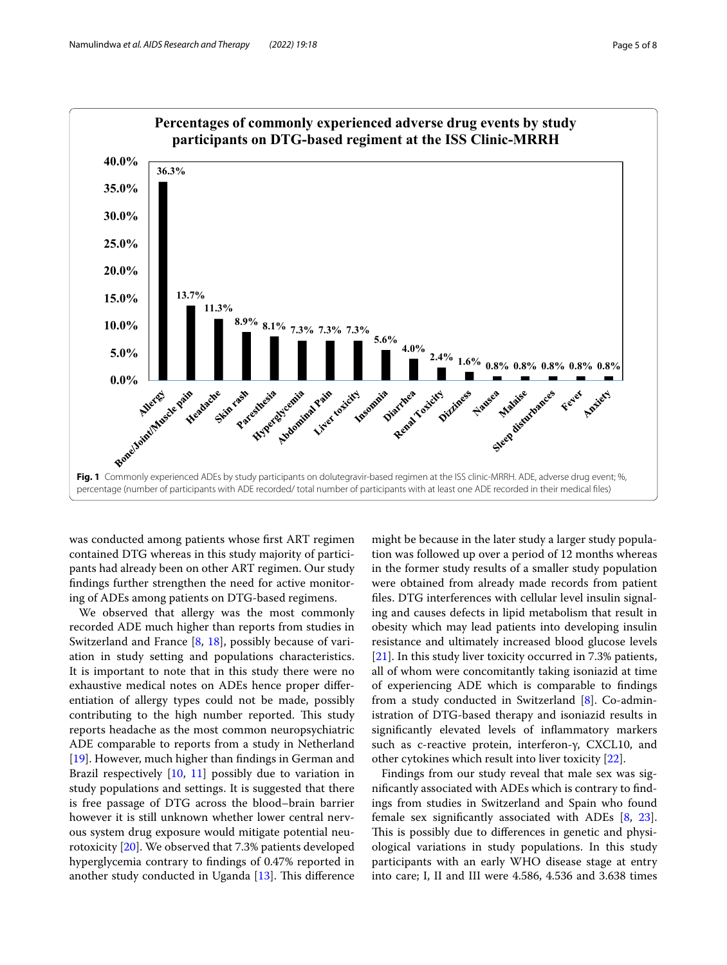

<span id="page-4-0"></span>was conducted among patients whose frst ART regimen contained DTG whereas in this study majority of participants had already been on other ART regimen. Our study fndings further strengthen the need for active monitoring of ADEs among patients on DTG-based regimens.

We observed that allergy was the most commonly recorded ADE much higher than reports from studies in Switzerland and France [[8,](#page-6-7) [18](#page-7-7)], possibly because of variation in study setting and populations characteristics. It is important to note that in this study there were no exhaustive medical notes on ADEs hence proper diferentiation of allergy types could not be made, possibly contributing to the high number reported. This study reports headache as the most common neuropsychiatric ADE comparable to reports from a study in Netherland [[19\]](#page-7-8). However, much higher than fndings in German and Brazil respectively [\[10](#page-6-9), [11](#page-7-0)] possibly due to variation in study populations and settings. It is suggested that there is free passage of DTG across the blood–brain barrier however it is still unknown whether lower central nervous system drug exposure would mitigate potential neurotoxicity [\[20](#page-7-9)]. We observed that 7.3% patients developed hyperglycemia contrary to fndings of 0.47% reported in another study conducted in Uganda  $[13]$  $[13]$ . This difference

might be because in the later study a larger study population was followed up over a period of 12 months whereas in the former study results of a smaller study population were obtained from already made records from patient fles. DTG interferences with cellular level insulin signaling and causes defects in lipid metabolism that result in obesity which may lead patients into developing insulin resistance and ultimately increased blood glucose levels [[21\]](#page-7-10). In this study liver toxicity occurred in 7.3% patients, all of whom were concomitantly taking isoniazid at time of experiencing ADE which is comparable to fndings from a study conducted in Switzerland [[8\]](#page-6-7). Co-administration of DTG-based therapy and isoniazid results in signifcantly elevated levels of infammatory markers such as c-reactive protein, interferon-γ, CXCL10, and other cytokines which result into liver toxicity [[22\]](#page-7-11).

Findings from our study reveal that male sex was signifcantly associated with ADEs which is contrary to fndings from studies in Switzerland and Spain who found female sex signifcantly associated with ADEs [\[8](#page-6-7), [23](#page-7-12)]. This is possibly due to differences in genetic and physiological variations in study populations. In this study participants with an early WHO disease stage at entry into care; I, II and III were 4.586, 4.536 and 3.638 times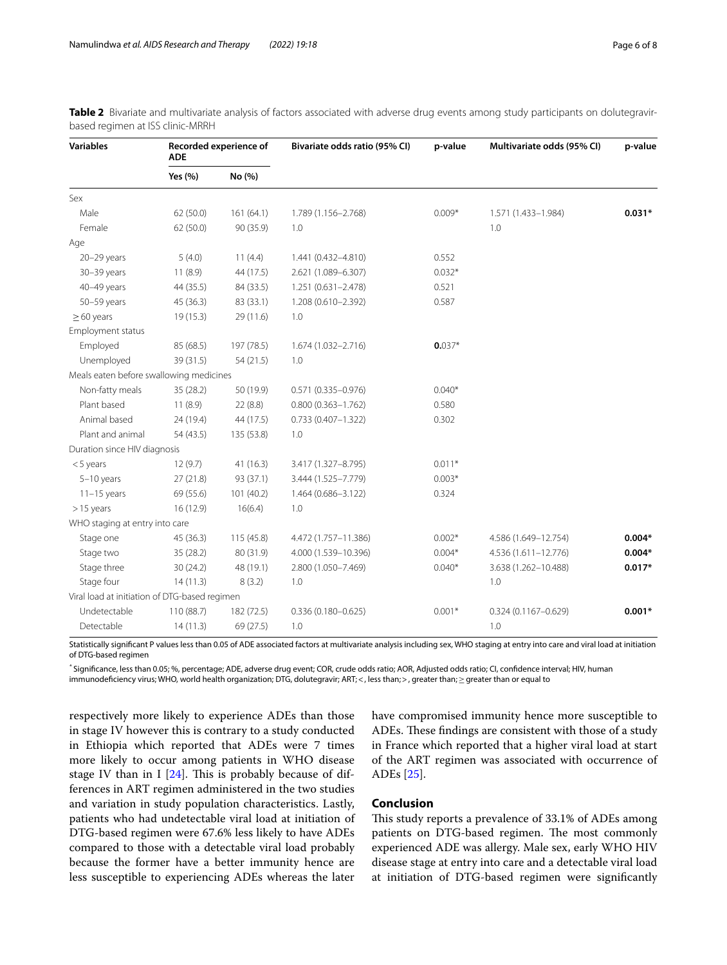| <b>Variables</b>                              | Recorded experience of<br><b>ADE</b> |            | Bivariate odds ratio (95% CI) | p-value  | Multivariate odds (95% CI) | p-value  |
|-----------------------------------------------|--------------------------------------|------------|-------------------------------|----------|----------------------------|----------|
|                                               | Yes (%)                              | No (%)     |                               |          |                            |          |
| Sex                                           |                                      |            |                               |          |                            |          |
| Male                                          | 62 (50.0)                            | 161(64.1)  | 1.789 (1.156-2.768)           | $0.009*$ | 1.571 (1.433-1.984)        | $0.031*$ |
| Female                                        | 62 (50.0)                            | 90 (35.9)  | 1.0                           |          | 1.0                        |          |
| Age                                           |                                      |            |                               |          |                            |          |
| 20-29 years                                   | 5(4.0)                               | 11(4.4)    | 1.441 (0.432-4.810)           | 0.552    |                            |          |
| 30-39 years                                   | 11(8.9)                              | 44 (17.5)  | 2.621 (1.089-6.307)           | $0.032*$ |                            |          |
| 40-49 years                                   | 44 (35.5)                            | 84 (33.5)  | 1.251 (0.631-2.478)           | 0.521    |                            |          |
| 50-59 years                                   | 45 (36.3)                            | 83 (33.1)  | 1.208 (0.610-2.392)           | 0.587    |                            |          |
| $\geq 60$ years                               | 19(15.3)                             | 29 (11.6)  | 1.0                           |          |                            |          |
| Employment status                             |                                      |            |                               |          |                            |          |
| Employed                                      | 85 (68.5)                            | 197 (78.5) | 1.674 (1.032-2.716)           | $0.037*$ |                            |          |
| Unemployed                                    | 39 (31.5)                            | 54(21.5)   | 1.0                           |          |                            |          |
| Meals eaten before swallowing medicines       |                                      |            |                               |          |                            |          |
| Non-fatty meals                               | 35 (28.2)                            | 50 (19.9)  | $0.571(0.335 - 0.976)$        | $0.040*$ |                            |          |
| Plant based                                   | 11(8.9)                              | 22(8.8)    | $0.800(0.363 - 1.762)$        | 0.580    |                            |          |
| Animal based                                  | 24 (19.4)                            | 44 (17.5)  | $0.733(0.407 - 1.322)$        | 0.302    |                            |          |
| Plant and animal                              | 54 (43.5)                            | 135 (53.8) | 1.0                           |          |                            |          |
| Duration since HIV diagnosis                  |                                      |            |                               |          |                            |          |
| $<$ 5 years                                   | 12(9.7)                              | 41(16.3)   | 3.417 (1.327-8.795)           | $0.011*$ |                            |          |
| $5-10$ years                                  | 27(21.8)                             | 93 (37.1)  | 3.444 (1.525-7.779)           | $0.003*$ |                            |          |
| $11-15$ years                                 | 69 (55.6)                            | 101(40.2)  | 1.464 (0.686-3.122)           | 0.324    |                            |          |
| $>15$ years                                   | 16 (12.9)                            | 16(6.4)    | 1.0                           |          |                            |          |
| WHO staging at entry into care                |                                      |            |                               |          |                            |          |
| Stage one                                     | 45 (36.3)                            | 115 (45.8) | 4.472 (1.757-11.386)          | $0.002*$ | 4.586 (1.649-12.754)       | $0.004*$ |
| Stage two                                     | 35 (28.2)                            | 80 (31.9)  | 4.000 (1.539-10.396)          | $0.004*$ | 4.536 (1.611-12.776)       | $0.004*$ |
| Stage three                                   | 30(24.2)                             | 48 (19.1)  | 2.800 (1.050-7.469)           | $0.040*$ | 3.638 (1.262-10.488)       | $0.017*$ |
| Stage four                                    | 14(11.3)                             | 8(3.2)     | 1.0                           |          | 1.0                        |          |
| Viral load at initiation of DTG-based regimen |                                      |            |                               |          |                            |          |
| Undetectable                                  | 110 (88.7)                           | 182 (72.5) | $0.336(0.180 - 0.625)$        | $0.001*$ | $0.324(0.1167 - 0.629)$    | $0.001*$ |
| Detectable                                    | 14(11.3)                             | 69 (27.5)  | 1.0                           |          | 1.0                        |          |

<span id="page-5-0"></span>**Table 2** Bivariate and multivariate analysis of factors associated with adverse drug events among study participants on dolutegravirbased regimen at ISS clinic-MRRH

Statistically significant P values less than 0.05 of ADE associated factors at multivariate analysis including sex, WHO staging at entry into care and viral load at initiation of DTG-based regimen

*\** Signifcance, less than 0.05; %, percentage; ADE, adverse drug event; COR, crude odds ratio; AOR, Adjusted odds ratio; CI, confdence interval; HIV, human immunodefciency virus; WHO, world health organization; DTG, dolutegravir; ART;<, less than;>, greater than;≥greater than or equal to

respectively more likely to experience ADEs than those in stage IV however this is contrary to a study conducted in Ethiopia which reported that ADEs were 7 times more likely to occur among patients in WHO disease stage IV than in I  $[24]$  $[24]$ . This is probably because of differences in ART regimen administered in the two studies and variation in study population characteristics. Lastly, patients who had undetectable viral load at initiation of DTG-based regimen were 67.6% less likely to have ADEs compared to those with a detectable viral load probably because the former have a better immunity hence are less susceptible to experiencing ADEs whereas the later have compromised immunity hence more susceptible to ADEs. These findings are consistent with those of a study in France which reported that a higher viral load at start of the ART regimen was associated with occurrence of ADEs [[25\]](#page-7-14).

## **Conclusion**

This study reports a prevalence of 33.1% of ADEs among patients on DTG-based regimen. The most commonly experienced ADE was allergy. Male sex, early WHO HIV disease stage at entry into care and a detectable viral load at initiation of DTG-based regimen were signifcantly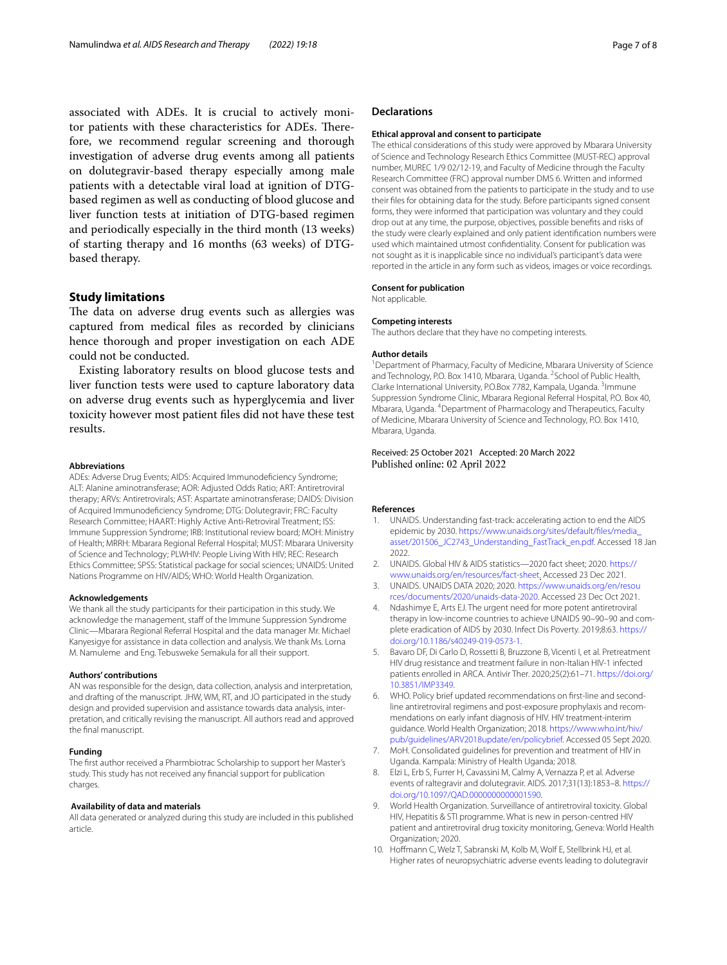associated with ADEs. It is crucial to actively monitor patients with these characteristics for ADEs. Therefore, we recommend regular screening and thorough investigation of adverse drug events among all patients on dolutegravir-based therapy especially among male patients with a detectable viral load at ignition of DTGbased regimen as well as conducting of blood glucose and liver function tests at initiation of DTG-based regimen and periodically especially in the third month (13 weeks) of starting therapy and 16 months (63 weeks) of DTGbased therapy.

## **Study limitations**

The data on adverse drug events such as allergies was captured from medical fles as recorded by clinicians hence thorough and proper investigation on each ADE could not be conducted.

Existing laboratory results on blood glucose tests and liver function tests were used to capture laboratory data on adverse drug events such as hyperglycemia and liver toxicity however most patient fles did not have these test results.

#### **Abbreviations**

ADEs: Adverse Drug Events; AIDS: Acquired Immunodefciency Syndrome; ALT: Alanine aminotransferase; AOR: Adjusted Odds Ratio; ART: Antiretroviral therapy; ARVs: Antiretrovirals; AST: Aspartate aminotransferase; DAIDS: Division of Acquired Immunodefciency Syndrome; DTG: Dolutegravir; FRC: Faculty Research Committee; HAART: Highly Active Anti-Retroviral Treatment; ISS: Immune Suppression Syndrome; IRB: Institutional review board; MOH: Ministry of Health; MRRH: Mbarara Regional Referral Hospital; MUST: Mbarara University of Science and Technology; PLWHIV: People Living With HIV; REC: Research Ethics Committee; SPSS: Statistical package for social sciences; UNAIDS: United Nations Programme on HIV/AIDS; WHO: World Health Organization.

#### **Acknowledgements**

We thank all the study participants for their participation in this study. We acknowledge the management, staff of the Immune Suppression Syndrome Clinic—Mbarara Regional Referral Hospital and the data manager Mr. Michael Kanyesigye for assistance in data collection and analysis. We thank Ms. Lorna M. Namuleme and Eng. Tebusweke Semakula for all their support.

#### **Authors' contributions**

AN was responsible for the design, data collection, analysis and interpretation, and drafting of the manuscript. JHW, WM, RT, and JO participated in the study design and provided supervision and assistance towards data analysis, interpretation, and critically revising the manuscript. All authors read and approved the fnal manuscript.

#### **Funding**

The frst author received a Pharmbiotrac Scholarship to support her Master's study. This study has not received any fnancial support for publication charges.

#### **Availability of data and materials**

All data generated or analyzed during this study are included in this published article.

### **Declarations**

#### **Ethical approval and consent to participate**

The ethical considerations of this study were approved by Mbarara University of Science and Technology Research Ethics Committee (MUST-REC) approval number, MUREC 1/9 02/12-19, and Faculty of Medicine through the Faculty Research Committee (FRC) approval number DMS 6. Written and informed consent was obtained from the patients to participate in the study and to use their fles for obtaining data for the study. Before participants signed consent forms, they were informed that participation was voluntary and they could drop out at any time, the purpose, objectives, possible benefts and risks of the study were clearly explained and only patient identifcation numbers were used which maintained utmost confdentiality. Consent for publication was not sought as it is inapplicable since no individual's participant's data were reported in the article in any form such as videos, images or voice recordings.

#### **Consent for publication**

Not applicable.

## **Competing interests**

The authors declare that they have no competing interests.

#### **Author details**

<sup>1</sup> Department of Pharmacy, Faculty of Medicine, Mbarara University of Science and Technology, P.O. Box 1410, Mbarara, Uganda. <sup>2</sup> School of Public Health, Clarke International University, P.O.Box 7782, Kampala, Uganda. <sup>3</sup>Immune Suppression Syndrome Clinic, Mbarara Regional Referral Hospital, P.O. Box 40, Mbarara, Uganda. <sup>4</sup> Department of Pharmacology and Therapeutics, Faculty of Medicine, Mbarara University of Science and Technology, P.O. Box 1410, Mbarara, Uganda.

## Received: 25 October 2021 Accepted: 20 March 2022 Published online: 02 April 2022

#### **References**

- <span id="page-6-0"></span>1. UNAIDS. Understanding fast-track: accelerating action to end the AIDS epidemic by 2030. [https://www.unaids.org/sites/default/fles/media\\_](https://www.unaids.org/sites/default/files/media_asset/201506_JC2743_Understanding_FastTrack_en.pdf) [asset/201506\\_JC2743\\_Understanding\\_FastTrack\\_en.pdf.](https://www.unaids.org/sites/default/files/media_asset/201506_JC2743_Understanding_FastTrack_en.pdf) Accessed 18 Jan 2022.
- <span id="page-6-1"></span>2. UNAIDS. Global HIV & AIDS statistics—2020 fact sheet; 2020. [https://](https://www.unaids.org/en/resources/fact-sheet) [www.unaids.org/en/resources/fact-sheet](https://www.unaids.org/en/resources/fact-sheet). Accessed 23 Dec 2021.
- <span id="page-6-2"></span>3. UNAIDS. UNAIDS DATA 2020; 2020. [https://www.unaids.org/en/resou](https://www.unaids.org/en/resources/documents/2020/unaids-data-2020) [rces/documents/2020/unaids-data-2020.](https://www.unaids.org/en/resources/documents/2020/unaids-data-2020) Accessed 23 Dec Oct 2021.
- <span id="page-6-3"></span>4. Ndashimye E, Arts EJ. The urgent need for more potent antiretroviral therapy in low-income countries to achieve UNAIDS 90–90–90 and complete eradication of AIDS by 2030. Infect Dis Poverty. 2019;8:63. [https://](https://doi.org/10.1186/s40249-019-0573-1) [doi.org/10.1186/s40249-019-0573-1](https://doi.org/10.1186/s40249-019-0573-1).
- <span id="page-6-4"></span>5. Bavaro DF, Di Carlo D, Rossetti B, Bruzzone B, Vicenti I, et al. Pretreatment HIV drug resistance and treatment failure in non-Italian HIV-1 infected patients enrolled in ARCA. Antivir Ther. 2020;25(2):61–71. [https://doi.org/](https://doi.org/10.3851/IMP3349) [10.3851/IMP3349](https://doi.org/10.3851/IMP3349).
- <span id="page-6-5"></span>6. WHO. Policy brief updated recommendations on frst-line and secondline antiretroviral regimens and post-exposure prophylaxis and recommendations on early infant diagnosis of HIV. HIV treatment-interim guidance. World Health Organization; 2018. [https://www.who.int/hiv/](https://www.who.int/hiv/pub/guidelines/ARV2018update/en/policybrief) [pub/guidelines/ARV2018update/en/policybrief.](https://www.who.int/hiv/pub/guidelines/ARV2018update/en/policybrief) Accessed 05 Sept 2020.
- <span id="page-6-6"></span>7. MoH. Consolidated guidelines for prevention and treatment of HIV in Uganda. Kampala: Ministry of Health Uganda; 2018.
- <span id="page-6-7"></span>8. Elzi L, Erb S, Furrer H, Cavassini M, Calmy A, Vernazza P, et al. Adverse events of raltegravir and dolutegravir. AIDS. 2017;31(13):1853–8. [https://](https://doi.org/10.1097/QAD.0000000000001590) [doi.org/10.1097/QAD.0000000000001590](https://doi.org/10.1097/QAD.0000000000001590).
- <span id="page-6-8"></span>9. World Health Organization. Surveillance of antiretroviral toxicity. Global HIV, Hepatitis & STI programme. What is new in person-centred HIV patient and antiretroviral drug toxicity monitoring, Geneva: World Health Organization; 2020.
- <span id="page-6-9"></span>10. Hofmann C, Welz T, Sabranski M, Kolb M, Wolf E, Stellbrink HJ, et al. Higher rates of neuropsychiatric adverse events leading to dolutegravir